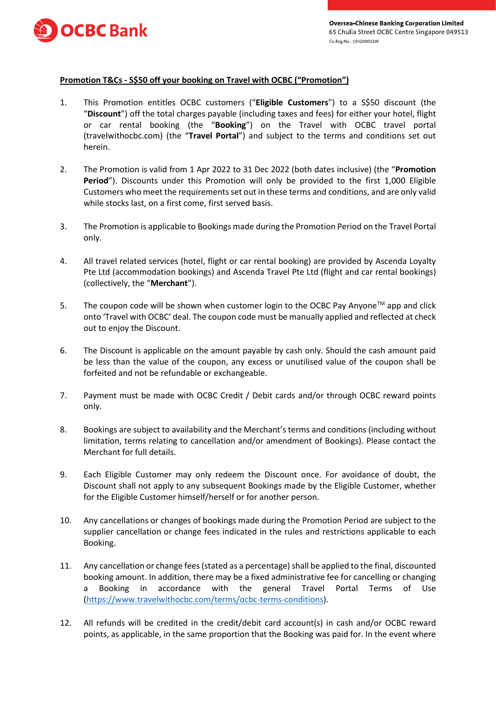

## **Promotion T&Cs - S\$50 off your booking on Travel with OCBC ("Promotion")**

- 1. This Promotion entitles OCBC customers ("**Eligible Customers**") to a S\$50 discount (the "**Discount**") off the total charges payable (including taxes and fees) for either your hotel, flight or car rental booking (the "**Booking**") on the Travel with OCBC travel portal (travelwithocbc.com) (the "**Travel Portal**") and subject to the terms and conditions set out herein.
- 2. The Promotion is valid from 1 Apr 2022 to 31 Dec 2022 (both dates inclusive) (the "**Promotion Period**"). Discounts under this Promotion will only be provided to the first 1,000 Eligible Customers who meet the requirements set out in these terms and conditions, and are only valid while stocks last, on a first come, first served basis.
- 3. The Promotion is applicable to Bookings made during the Promotion Period on the Travel Portal only.
- 4. All travel related services (hotel, flight or car rental booking) are provided by Ascenda Loyalty Pte Ltd (accommodation bookings) and Ascenda Travel Pte Ltd (flight and car rental bookings) (collectively, the "**Merchant**").
- 5. The coupon code will be shown when customer login to the OCBC Pay Anyone<sup>TM</sup> app and click onto 'Travel with OCBC' deal. The coupon code must be manually applied and reflected at check out to enjoy the Discount.
- 6. The Discount is applicable on the amount payable by cash only. Should the cash amount paid be less than the value of the coupon, any excess or unutilised value of the coupon shall be forfeited and not be refundable or exchangeable.
- 7. Payment must be made with OCBC Credit / Debit cards and/or through OCBC reward points only.
- 8. Bookings are subject to availability and the Merchant's terms and conditions (including without limitation, terms relating to cancellation and/or amendment of Bookings). Please contact the Merchant for full details.
- 9. Each Eligible Customer may only redeem the Discount once. For avoidance of doubt, the Discount shall not apply to any subsequent Bookings made by the Eligible Customer, whether for the Eligible Customer himself/herself or for another person.
- 10. Any cancellations or changes of bookings made during the Promotion Period are subject to the supplier cancellation or change fees indicated in the rules and restrictions applicable to each Booking.
- 11. Any cancellation or change fees (stated as a percentage) shall be applied to the final, discounted booking amount. In addition, there may be a fixed administrative fee for cancelling or changing a Booking in accordance with the general Travel Portal Terms of Use [\(https://www.travelwithocbc.com/terms/ocbc-terms-conditions\)](https://www.travelwithocbc.com/terms/ocbc-terms-conditions).
- 12. All refunds will be credited in the credit/debit card account(s) in cash and/or OCBC reward points, as applicable, in the same proportion that the Booking was paid for. In the event where